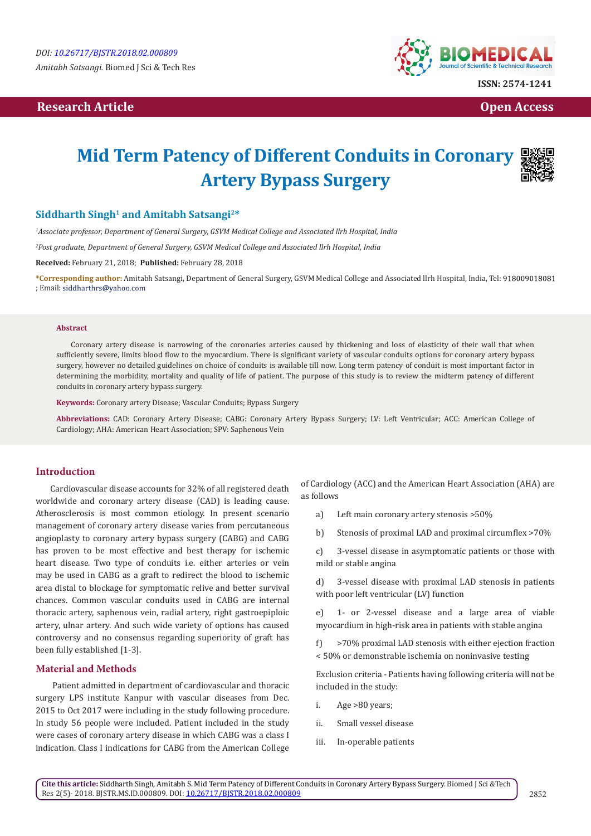## **Research Article Open Access Contract Article Open Access Open Access**



**ISSN: 2574-1241**

# **Mid Term Patency of Different Conduits in Coronary Artery Bypass Surgery**



*1 Associate professor, Department of General Surgery, GSVM Medical College and Associated llrh Hospital, India*

*2 Post graduate, Department of General Surgery, GSVM Medical College and Associated llrh Hospital, India*

**Received:** February 21, 2018; **Published:** February 28, 2018

**\*Corresponding author:** Amitabh Satsangi, Department of General Surgery, GSVM Medical College and Associated llrh Hospital, India, Tel: ; Email:

#### **Abstract**

Coronary artery disease is narrowing of the coronaries arteries caused by thickening and loss of elasticity of their wall that when sufficiently severe, limits blood flow to the myocardium. There is significant variety of vascular conduits options for coronary artery bypass surgery, however no detailed guidelines on choice of conduits is available till now. Long term patency of conduit is most important factor in determining the morbidity, mortality and quality of life of patient. The purpose of this study is to review the midterm patency of different conduits in coronary artery bypass surgery.

**Keywords:** Coronary artery Disease; Vascular Conduits; Bypass Surgery

**Abbreviations:** CAD: Coronary Artery Disease; CABG: Coronary Artery Bypass Surgery; LV: Left Ventricular; ACC: American College of Cardiology; AHA: American Heart Association; SPV: Saphenous Vein

#### **Introduction**

Cardiovascular disease accounts for 32% of all registered death worldwide and coronary artery disease (CAD) is leading cause. Atherosclerosis is most common etiology. In present scenario management of coronary artery disease varies from percutaneous angioplasty to coronary artery bypass surgery (CABG) and CABG has proven to be most effective and best therapy for ischemic heart disease. Two type of conduits i.e. either arteries or vein may be used in CABG as a graft to redirect the blood to ischemic area distal to blockage for symptomatic relive and better survival chances. Common vascular conduits used in CABG are internal thoracic artery, saphenous vein, radial artery, right gastroepiploic artery, ulnar artery. And such wide variety of options has caused controversy and no consensus regarding superiority of graft has been fully established [1-3].

#### **Material and Methods**

 Patient admitted in department of cardiovascular and thoracic surgery LPS institute Kanpur with vascular diseases from Dec. 2015 to Oct 2017 were including in the study following procedure. In study 56 people were included. Patient included in the study were cases of coronary artery disease in which CABG was a class I indication. Class I indications for CABG from the American College

of Cardiology (ACC) and the American Heart Association (AHA) are as follows

- a) Left main coronary artery stenosis >50%
- b) Stenosis of proximal LAD and proximal circumflex >70%

c) 3-vessel disease in asymptomatic patients or those with mild or stable angina

d) 3-vessel disease with proximal LAD stenosis in patients with poor left ventricular (LV) function

e) 1- or 2-vessel disease and a large area of viable myocardium in high-risk area in patients with stable angina

f) >70% proximal LAD stenosis with either ejection fraction < 50% or demonstrable ischemia on noninvasive testing

Exclusion criteria - Patients having following criteria will not be included in the study:

- i. Age >80 years;
- ii. Small vessel disease
- iii. In-operable patients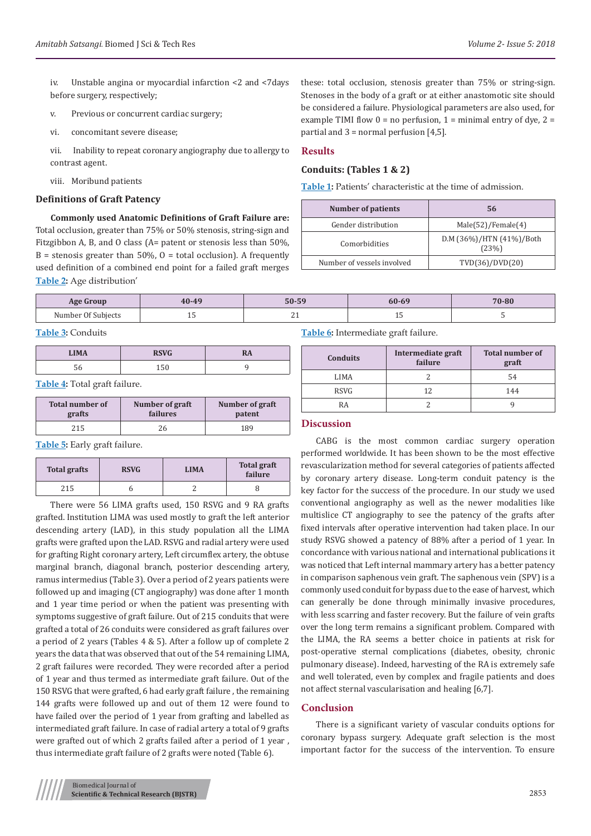iv. Unstable angina or myocardial infarction <2 and <7days before surgery, respectively;

- v. Previous or concurrent cardiac surgery;
- vi. concomitant severe disease;

vii. Inability to repeat coronary angiography due to allergy to contrast agent.

viii. Moribund patients

#### **Definitions of Graft Patency**

**Commonly used Anatomic Definitions of Graft Failure are:**  Total occlusion, greater than 75% or 50% stenosis, string-sign and Fitzgibbon A, B, and O class (A= patent or stenosis less than 50%,  $B =$  stenosis greater than 50%, O = total occlusion). A frequently used definition of a combined end point for a failed graft merges **Table 2:** Age distribution'

these: total occlusion, stenosis greater than 75% or string-sign. Stenoses in the body of a graft or at either anastomotic site should be considered a failure. Physiological parameters are also used, for example TIMI flow  $0 = no$  perfusion,  $1 = minimal$  entry of dye,  $2 =$ partial and  $3$  = normal perfusion  $[4,5]$ .

#### **Results**

### **Conduits: (Tables 1 & 2)**

**Table 1:** Patients' characteristic at the time of admission.

| <b>Number of patients</b>  | 56                                |  |
|----------------------------|-----------------------------------|--|
| Gender distribution        | Male(52)/Female(4)                |  |
| Comorbidities              | D.M (36%)/HTN (41%)/Both<br>(23%) |  |
| Number of vessels involved | TVD(36)/DVD(20)                   |  |

| <b>Age Group</b>   | 40-49          | 50-59     | 60-69        | 70-80 |
|--------------------|----------------|-----------|--------------|-------|
| Number Of Subiects | - 11<br>$\sim$ | <b>⊥⊥</b> | --<br>$\sim$ |       |

**Table 3:** Conduits

| <b>LIMA</b> | DOUG<br>170 A CL | w |
|-------------|------------------|---|
|             |                  |   |

**Table 4:** Total graft failure.

| <b>Total number of</b> | Number of graft | Number of graft |
|------------------------|-----------------|-----------------|
| grafts                 | failures        | patent          |
| 215                    |                 | 189             |

**Table 5:** Early graft failure.

| <b>Total grafts</b> | <b>RSVG</b> | <b>LIMA</b> | <b>Total graft</b><br>failure |
|---------------------|-------------|-------------|-------------------------------|
| 215                 |             |             |                               |

There were 56 LIMA grafts used, 150 RSVG and 9 RA grafts grafted. Institution LIMA was used mostly to graft the left anterior descending artery (LAD), in this study population all the LIMA grafts were grafted upon the LAD. RSVG and radial artery were used for grafting Right coronary artery, Left circumflex artery, the obtuse marginal branch, diagonal branch, posterior descending artery, ramus intermedius (Table 3). Over a period of 2 years patients were followed up and imaging (CT angiography) was done after 1 month and 1 year time period or when the patient was presenting with symptoms suggestive of graft failure. Out of 215 conduits that were grafted a total of 26 conduits were considered as graft failures over a period of 2 years (Tables 4 & 5). After a follow up of complete 2 years the data that was observed that out of the 54 remaining LIMA, 2 graft failures were recorded. They were recorded after a period of 1 year and thus termed as intermediate graft failure. Out of the 150 RSVG that were grafted, 6 had early graft failure , the remaining 144 grafts were followed up and out of them 12 were found to have failed over the period of 1 year from grafting and labelled as intermediated graft failure. In case of radial artery a total of 9 grafts were grafted out of which 2 grafts failed after a period of 1 year , thus intermediate graft failure of 2 grafts were noted (Table 6).

**Table 6:** Intermediate graft failure.

| <b>Conduits</b> | Intermediate graft<br>failure | <b>Total number of</b><br>graft |
|-----------------|-------------------------------|---------------------------------|
| LIMA            |                               | 54                              |
| <b>RSVG</b>     |                               | 144                             |
| RA              |                               |                                 |

#### **Discussion**

CABG is the most common cardiac surgery operation performed worldwide. It has been shown to be the most effective revascularization method for several categories of patients affected by coronary artery disease. Long-term conduit patency is the key factor for the success of the procedure. In our study we used conventional angiography as well as the newer modalities like multislice CT angiography to see the patency of the grafts after fixed intervals after operative intervention had taken place. In our study RSVG showed a patency of 88% after a period of 1 year. In concordance with various national and international publications it was noticed that Left internal mammary artery has a better patency in comparison saphenous vein graft. The saphenous vein (SPV) is a commonly used conduit for bypass due to the ease of harvest, which can generally be done through minimally invasive procedures, with less scarring and faster recovery. But the failure of vein grafts over the long term remains a significant problem. Compared with the LIMA, the RA seems a better choice in patients at risk for post-operative sternal complications (diabetes, obesity, chronic pulmonary disease). Indeed, harvesting of the RA is extremely safe and well tolerated, even by complex and fragile patients and does not affect sternal vascularisation and healing [6,7].

#### **Conclusion**

There is a significant variety of vascular conduits options for coronary bypass surgery. Adequate graft selection is the most important factor for the success of the intervention. To ensure